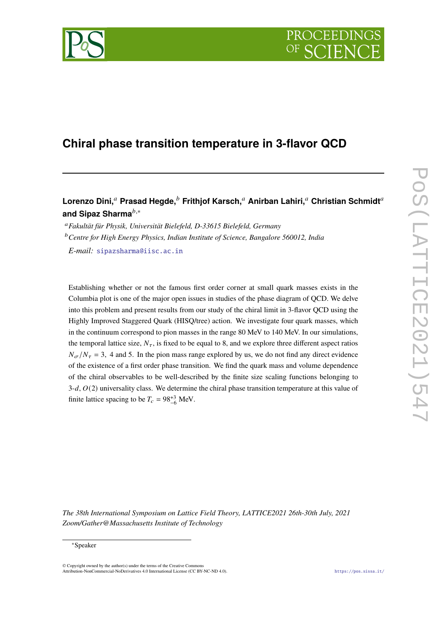

# **Chiral phase transition temperature in 3-flavor QCD**

## Lorenzo Dini,<sup>*a*</sup> Prasad Hegde,<sup>*b*</sup> Frithjof Karsch,<sup>*a*</sup> Anirban Lahiri,<sup>*a*</sup> Christian Schmidt<sup>*a*</sup> and Sipaz Sharma<sup>*b*,∗</sup>

*Fakultät für Physik, Universität Bielefeld, D-33615 Bielefeld, Germany Centre for High Energy Physics, Indian Institute of Science, Bangalore 560012, India E-mail:* [sipazsharma@iisc.ac.in](mailto:sipazsharma@iisc.ac.in)

Establishing whether or not the famous first order corner at small quark masses exists in the Columbia plot is one of the major open issues in studies of the phase diagram of QCD. We delve into this problem and present results from our study of the chiral limit in 3-flavor QCD using the Highly Improved Staggered Quark (HISQ/tree) action. We investigate four quark masses, which in the continuum correspond to pion masses in the range 80 MeV to 140 MeV. In our simulations, the temporal lattice size,  $N_{\tau}$ , is fixed to be equal to 8, and we explore three different aspect ratios  $N_{\sigma}/N_{\tau} = 3$ , 4 and 5. In the pion mass range explored by us, we do not find any direct evidence of the existence of a first order phase transition. We find the quark mass and volume dependence of the chiral observables to be well-described by the finite size scaling functions belonging to  $3-d$ ,  $O(2)$  universality class. We determine the chiral phase transition temperature at this value of finite lattice spacing to be  $T_c = 98^{+3}_{-6}$  MeV.

POS(LATTICE2021)54 PoS(LATTICE2021)547

*The 38th International Symposium on Lattice Field Theory, LATTICE2021 26th-30th July, 2021 Zoom/Gather@Massachusetts Institute of Technology*

#### <sup>∗</sup>Speaker

© Copyright owned by the author(s) under the terms of the Creative Commons Attribution-NonCommercial-NoDerivatives 4.0 International License (CC BY-NC-ND 4.0). <https://pos.sissa.it/>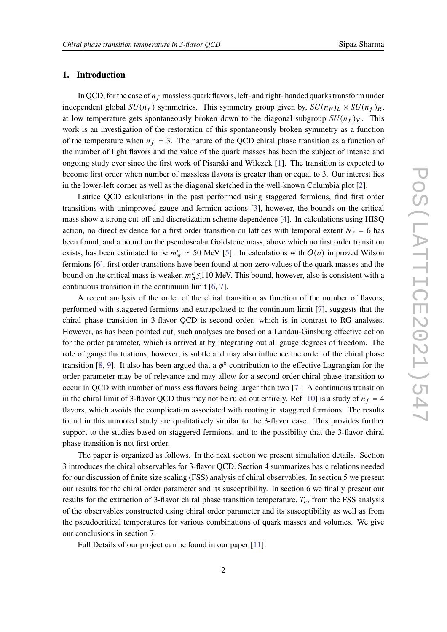#### **1. Introduction**

In QCD, for the case of  $n_f$  massless quark flavors, left- and right-handed quarks transform under independent global  $SU(n_f)$  symmetries. This symmetry group given by,  $SU(n_f)_L \times SU(n_f)_R$ , at low temperature gets spontaneously broken down to the diagonal subgroup  $SU(n_f)_V$ . This work is an investigation of the restoration of this spontaneously broken symmetry as a function of the temperature when  $n_f = 3$ . The nature of the QCD chiral phase transition as a function of the number of light flavors and the value of the quark masses has been the subject of intense and ongoing study ever since the first work of Pisarski and Wilczek [\[1\]](#page-8-0). The transition is expected to become first order when number of massless flavors is greater than or equal to 3. Our interest lies in the lower-left corner as well as the diagonal sketched in the well-known Columbia plot [\[2\]](#page-8-1).

Lattice QCD calculations in the past performed using staggered fermions, find first order transitions with unimproved gauge and fermion actions [\[3\]](#page-8-2), however, the bounds on the critical mass show a strong cut-off and discretization scheme dependence [\[4\]](#page-8-3). In calculations using HISQ action, no direct evidence for a first order transition on lattices with temporal extent  $N<sub>\tau</sub> = 6$  has been found, and a bound on the pseudoscalar Goldstone mass, above which no first order transition exists, has been estimated to be  $m_{\pi}^c \approx 50$  MeV [\[5\]](#page-8-4). In calculations with  $O(a)$  improved Wilson fermions [\[6\]](#page-8-5), first order transitions have been found at non-zero values of the quark masses and the bound on the critical mass is weaker,  $m_{\pi}^c \le 110$  MeV. This bound, however, also is consistent with a continuous transition in the continuum limit [\[6,](#page-8-5) [7\]](#page-8-6).

A recent analysis of the order of the chiral transition as function of the number of flavors, performed with staggered fermions and extrapolated to the continuum limit [\[7\]](#page-8-6), suggests that the chiral phase transition in 3-flavor QCD is second order, which is in contrast to RG analyses. However, as has been pointed out, such analyses are based on a Landau-Ginsburg effective action for the order parameter, which is arrived at by integrating out all gauge degrees of freedom. The role of gauge fluctuations, however, is subtle and may also influence the order of the chiral phase transition [\[8,](#page-8-7) [9\]](#page-9-0). It also has been argued that a  $\phi^6$  contribution to the effective Lagrangian for the order parameter may be of relevance and may allow for a second order chiral phase transition to occur in QCD with number of massless flavors being larger than two [\[7\]](#page-8-6). A continuous transition in the chiral limit of 3-flavor QCD thus may not be ruled out entirely. Ref [\[10\]](#page-9-1) is a study of  $n_f = 4$ flavors, which avoids the complication associated with rooting in staggered fermions. The results found in this unrooted study are qualitatively similar to the 3-flavor case. This provides further support to the studies based on staggered fermions, and to the possibility that the 3-flavor chiral phase transition is not first order.

The paper is organized as follows. In the next section we present simulation details. Section 3 introduces the chiral observables for 3-flavor QCD. Section 4 summarizes basic relations needed for our discussion of finite size scaling (FSS) analysis of chiral observables. In section 5 we present our results for the chiral order parameter and its susceptibility. In section 6 we finally present our results for the extraction of 3-flavor chiral phase transition temperature,  $T_c$ , from the FSS analysis of the observables constructed using chiral order parameter and its susceptibility as well as from the pseudocritical temperatures for various combinations of quark masses and volumes. We give our conclusions in section 7.

Full Details of our project can be found in our paper [\[11\]](#page-9-2).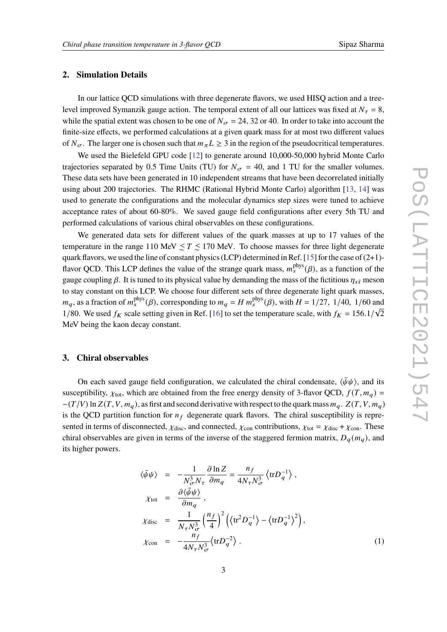#### **2. Simulation Details**

In our lattice QCD simulations with three degenerate flavors, we used HISQ action and a treelevel improved Symanzik gauge action. The temporal extent of all our lattices was fixed at  $N<sub>\tau</sub> = 8$ , while the spatial extent was chosen to be one of  $N_{\sigma} = 24, 32$  or 40. In order to take into account the finite-size effects, we performed calculations at a given quark mass for at most two different values of  $N_{\sigma}$ . The larger one is chosen such that  $m_{\pi}L \geq 3$  in the region of the pseudocritical temperatures.

We used the Bielefeld GPU code [\[12\]](#page-9-3) to generate around 10,000-50,000 hybrid Monte Carlo trajectories separated by 0.5 Time Units (TU) for  $N_{\sigma} = 40$ , and 1 TU for the smaller volumes. These data sets have been generated in 10 independent streams that have been decorrelated initially using about 200 trajectories. The RHMC (Rational Hybrid Monte Carlo) algorithm [\[13,](#page-9-4) [14\]](#page-9-5) was used to generate the configurations and the molecular dynamics step sizes were tuned to achieve acceptance rates of about 60-80%. We saved gauge field configurations after every 5th TU and performed calculations of various chiral observables on these configurations.

We generated data sets for different values of the quark masses at up to 17 values of the temperature in the range 110 MeV  $\leq T \leq 170$  MeV. To choose masses for three light degenerate quark flavors, we used the line of constant physics (LCP) determined in Ref. [\[15\]](#page-9-6) for the case of (2+1) flavor QCD. This LCP defines the value of the strange quark mass,  $m_s^{\text{phys}}(\beta)$ , as a function of the gauge coupling  $\beta$ . It is tuned to its physical value by demanding the mass of the fictitious  $\eta_{s\bar{s}}$  meson to stay constant on this LCP. We choose four different sets of three degenerate light quark masses,  $m_q$ , as a fraction of  $m_s^{\text{phys}}(\beta)$ , corresponding to  $m_q = H m_s^{\text{phys}}(\beta)$ , with  $H = 1/27, 1/40, 1/60$  and 1/80. We used  $f_K$  scale setting given in Ref. [\[16\]](#page-9-7) to set the temperature scale, with  $f_K = 156.1/\sqrt{2}$ MeV being the kaon decay constant.

#### **3. Chiral observables**

On each saved gauge field configuration, we calculated the chiral condensate,  $\langle \bar{\psi} \psi \rangle$ , and its susceptibility,  $\chi_{\text{tot}}$ , which are obtained from the free energy density of 3-flavor QCD,  $f(T, m_q)$  =  $-(T/V)$  ln  $Z(T, V, m_q)$ , as first and second derivative with respect to the quark mass  $m_q$ .  $Z(T, V, m_q)$ is the QCD partition function for  $n_f$  degenerate quark flavors. The chiral susceptibility is represented in terms of disconnected,  $\chi_{\text{disc}}$ , and connected,  $\chi_{\text{con}}$  contributions,  $\chi_{\text{tot}} = \chi_{\text{disc}} + \chi_{\text{con}}$ . These chiral observables are given in terms of the inverse of the staggered fermion matrix,  $D_q(m_q)$ , and its higher powers.

<span id="page-2-0"></span>
$$
\langle \bar{\psi}\psi \rangle = -\frac{1}{N_{\sigma}^{3}N_{\tau}} \frac{\partial \ln Z}{\partial m_{q}} = \frac{n_{f}}{4N_{\tau}N_{\sigma}^{3}} \langle trD_{q}^{-1} \rangle ,
$$
  
\n
$$
\chi_{\text{tot}} = \frac{\partial \langle \bar{\psi}\psi \rangle}{\partial m_{q}} ,
$$
  
\n
$$
\chi_{\text{disc}} = \frac{1}{N_{\tau}N_{\sigma}^{3}} \left(\frac{n_{f}}{4}\right)^{2} \left( \langle tr^{2}D_{q}^{-1} \rangle - \langle trD_{q}^{-1} \rangle^{2} \right),
$$
  
\n
$$
\chi_{\text{con}} = -\frac{n_{f}}{4N_{\tau}N_{\sigma}^{3}} \langle trD_{q}^{-2} \rangle .
$$
 (1)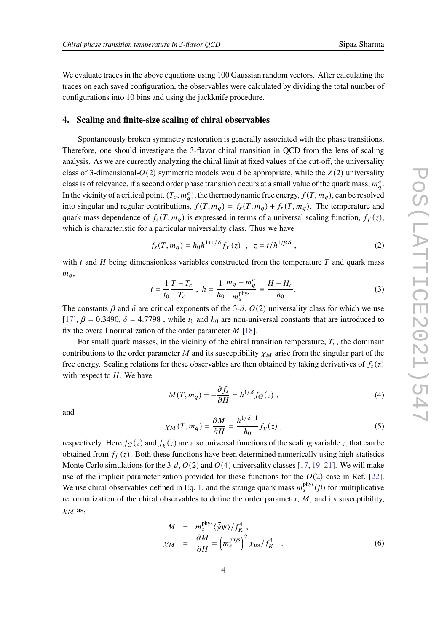We evaluate traces in the above equations using 100 Gaussian random vectors. After calculating the traces on each saved configuration, the observables were calculated by dividing the total number of configurations into 10 bins and using the jackknife procedure.

### **4. Scaling and finite-size scaling of chiral observables**

Spontaneously broken symmetry restoration is generally associated with the phase transitions. Therefore, one should investigate the 3-flavor chiral transition in QCD from the lens of scaling analysis. As we are currently analyzing the chiral limit at fixed values of the cut-off, the universality class of 3-dimensional- $O(2)$  symmetric models would be appropriate, while the  $Z(2)$  universality class is of relevance, if a second order phase transition occurs at a small value of the quark mass,  $m_q^c$ . In the vicinity of a critical point,  $(T_c, m_a^c)$ , the thermodynamic free energy,  $f(T, m_q)$ , can be resolved into singular and regular contributions,  $f(T, m_q) = f_s(T, m_q) + f_r(T, m_q)$ . The temperature and quark mass dependence of  $f_s(T, m_q)$  is expressed in terms of a universal scaling function,  $f_f(z)$ , which is characteristic for a particular universality class. Thus we have

$$
f_s(T, m_q) = h_0 h^{1+1/\delta} f_f(z) , \quad z = t/h^{1/\beta \delta} ,
$$
 (2)

with  $t$  and  $H$  being dimensionless variables constructed from the temperature  $T$  and quark mass  $m_q$ ,

$$
t = \frac{1}{t_0} \frac{T - T_c}{T_c} , \quad h = \frac{1}{h_0} \frac{m_q - m_q^c}{m_s^{\text{phys}}} \equiv \frac{H - H_c}{h_0}.
$$
 (3)

The constants  $\beta$  and  $\delta$  are critical exponents of the 3-d,  $O(2)$  universality class for which we use [\[17\]](#page-9-8),  $\beta = 0.3490$ ,  $\delta = 4.7798$ , while  $t_0$  and  $h_0$  are non-universal constants that are introduced to fix the overall normalization of the order parameter  $M$  [\[18\]](#page-9-9).

For small quark masses, in the vicinity of the chiral transition temperature,  $T_c$ , the dominant contributions to the order parameter M and its susceptibility  $\chi_M$  arise from the singular part of the free energy. Scaling relations for these observables are then obtained by taking derivatives of  $f_s(z)$ with respect to  $H$ . We have

<span id="page-3-0"></span>
$$
M(T, m_q) = -\frac{\partial f_s}{\partial H} = h^{1/\delta} f_G(z) , \qquad (4)
$$

and

<span id="page-3-1"></span>
$$
\chi_M(T, m_q) = \frac{\partial M}{\partial H} = \frac{h^{1/\delta - 1}}{h_0} f_\chi(z) , \qquad (5)
$$

respectively. Here  $f_G(z)$  and  $f_{\chi}(z)$  are also universal functions of the scaling variable z, that can be obtained from  $f_f(z)$ . Both these functions have been determined numerically using high-statistics Monte Carlo simulations for the 3-d,  $O(2)$  and  $O(4)$  universality classes [\[17,](#page-9-8) [19](#page-9-10)[–21\]](#page-9-11). We will make use of the implicit parameterization provided for these functions for the  $O(2)$  case in Ref. [\[22\]](#page-9-12). We use chiral observables defined in Eq. [1,](#page-2-0) and the strange quark mass  $m_s^{phys}(\beta)$  for multiplicative renormalization of the chiral observables to define the order parameter,  $M$ , and its susceptibility,  $\chi_M$  as,

$$
M = m_s^{\text{phys}} \langle \bar{\psi} \psi \rangle / f_K^4 ,
$$
  

$$
\chi_M = \frac{\partial M}{\partial H} = \left( m_s^{\text{phys}} \right)^2 \chi_{\text{tot}} / f_K^4 .
$$
 (6)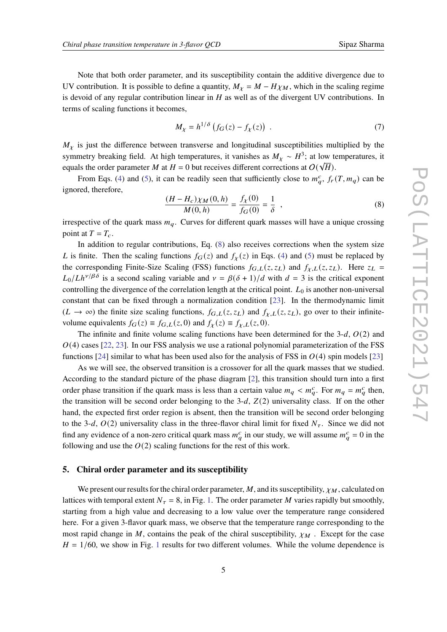Note that both order parameter, and its susceptibility contain the additive divergence due to UV contribution. It is possible to define a quantity,  $M_{\chi} = M - H\chi_M$ , which in the scaling regime is devoid of any regular contribution linear in  $H$  as well as of the divergent UV contributions. In terms of scaling functions it becomes,

$$
M_{\chi} = h^{1/\delta} \left( f_G(z) - f_{\chi}(z) \right) \tag{7}
$$

 $M_{\chi}$  is just the difference between transverse and longitudinal susceptibilities multiplied by the symmetry breaking field. At high temperatures, it vanishes as  $M_{\chi} \sim H^3$ ; at low temperatures, it Equals the order parameter *M* at  $H = 0$  but receives different corrections at  $O(\sqrt{H})$ .

From Eqs. [\(4\)](#page-3-0) and [\(5\)](#page-3-1), it can be readily seen that sufficiently close to  $m_q^c$ ,  $f_r(T, m_q)$  can be ignored, therefore,

<span id="page-4-0"></span>
$$
\frac{(H - H_c)\chi_M(0, h)}{M(0, h)} = \frac{f_\chi(0)}{f_G(0)} = \frac{1}{\delta} \quad , \tag{8}
$$

irrespective of the quark mass  $m_q$ . Curves for different quark masses will have a unique crossing point at  $T = T_c$ .

In addition to regular contributions, Eq. [\(8\)](#page-4-0) also receives corrections when the system size L is finite. Then the scaling functions  $f_G(z)$  and  $f_{\chi}(z)$  in Eqs. [\(4\)](#page-3-0) and [\(5\)](#page-3-1) must be replaced by the corresponding Finite-Size Scaling (FSS) functions  $f_{G,L}(z, z_L)$  and  $f_{\chi,L}(z, z_L)$ . Here  $z_L$  =  $L_0/Lh^{\nu/\beta\delta}$  is a second scaling variable and  $\nu = \beta(\delta + 1)/d$  with  $d = 3$  is the critical exponent controlling the divergence of the correlation length at the critical point.  $L_0$  is another non-universal constant that can be fixed through a normalization condition [\[23\]](#page-9-13). In the thermodynamic limit  $(L \to \infty)$  the finite size scaling functions,  $f_{G,L}(z, z_L)$  and  $f_{\chi,L}(z, z_L)$ , go over to their infinitevolume equivalents  $f_G(z) \equiv f_{G,L}(z, 0)$  and  $f_{\chi}(z) \equiv f_{\chi,L}(z, 0)$ .

The infinite and finite volume scaling functions have been determined for the  $3-d$ ,  $O(2)$  and  $O(4)$  cases [\[22,](#page-9-12) [23\]](#page-9-13). In our FSS analysis we use a rational polynomial parameterization of the FSS functions [\[24\]](#page-9-14) similar to what has been used also for the analysis of FSS in  $O(4)$  spin models [\[23\]](#page-9-13)

As we will see, the observed transition is a crossover for all the quark masses that we studied. According to the standard picture of the phase diagram [\[2\]](#page-8-1), this transition should turn into a first order phase transition if the quark mass is less than a certain value  $m_q < m_q^c$ . For  $m_q = m_q^c$  then, the transition will be second order belonging to the 3-d,  $Z(2)$  universality class. If on the other hand, the expected first order region is absent, then the transition will be second order belonging to the 3-d,  $O(2)$  universality class in the three-flavor chiral limit for fixed  $N_{\tau}$ . Since we did not find any evidence of a non-zero critical quark mass  $m_q^c$  in our study, we will assume  $m_q^c = 0$  in the following and use the  $O(2)$  scaling functions for the rest of this work.

#### **5. Chiral order parameter and its susceptibility**

We present our results for the chiral order parameter,  $M$ , and its susceptibility,  $\chi_M$ , calculated on lattices with temporal extent  $N_{\tau} = 8$ , in Fig. [1.](#page-5-0) The order parameter M varies rapidly but smoothly, starting from a high value and decreasing to a low value over the temperature range considered here. For a given 3-flavor quark mass, we observe that the temperature range corresponding to the most rapid change in M, contains the peak of the chiral susceptibility,  $\chi_M$ . Except for the case  $H = 1/60$  $H = 1/60$  $H = 1/60$ , we show in Fig. 1 results for two different volumes. While the volume dependence is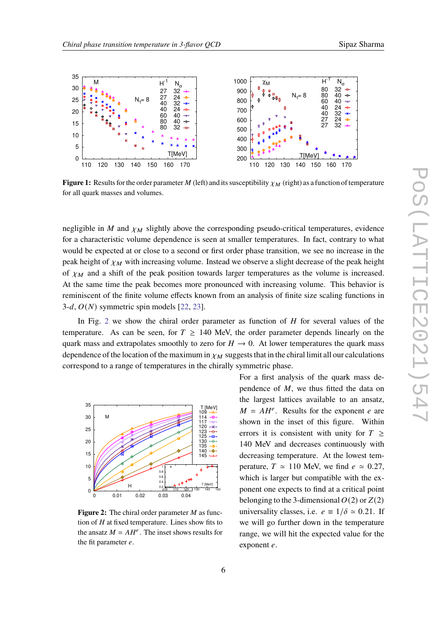<span id="page-5-0"></span>

**Figure 1:** Results for the order parameter M (left) and its susceptibility  $\chi_M$  (right) as a function of temperature for all quark masses and volumes.

negligible in  $M$  and  $\chi_M$  slightly above the corresponding pseudo-critical temperatures, evidence for a characteristic volume dependence is seen at smaller temperatures. In fact, contrary to what would be expected at or close to a second or first order phase transition, we see no increase in the peak height of  $\chi_M$  with increasing volume. Instead we observe a slight decrease of the peak height of  $\chi_M$  and a shift of the peak position towards larger temperatures as the volume is increased. At the same time the peak becomes more pronounced with increasing volume. This behavior is reminiscent of the finite volume effects known from an analysis of finite size scaling functions in 3-d,  $O(N)$  symmetric spin models [\[22,](#page-9-12) [23\]](#page-9-13).

In Fig. [2](#page-5-1) we show the chiral order parameter as function of  $H$  for several values of the temperature. As can be seen, for  $T \geq 140$  MeV, the order parameter depends linearly on the quark mass and extrapolates smoothly to zero for  $H \rightarrow 0$ . At lower temperatures the quark mass dependence of the location of the maximum in  $\chi_M$  suggests that in the chiral limit all our calculations correspond to a range of temperatures in the chirally symmetric phase.



<span id="page-5-1"></span>**Figure 2:** The chiral order parameter  $M$  as function of  $H$  at fixed temperature. Lines show fits to the ansatz  $M = AH^e$ . The inset shows results for the fit parameter  $e$ .

For a first analysis of the quark mass dependence of  $M$ , we thus fitted the data on the largest lattices available to an ansatz,  $M = AH^e$ . Results for the exponent *e* are shown in the inset of this figure. Within errors it is consistent with unity for  $T \geq$ 140 MeV and decreases continuously with decreasing temperature. At the lowest temperature,  $T \approx 110$  MeV, we find  $e \approx 0.27$ , which is larger but compatible with the exponent one expects to find at a critical point belonging to the 3-dimensional  $O(2)$  or  $Z(2)$ universality classes, i.e.  $e \equiv 1/\delta \approx 0.21$ . If we will go further down in the temperature range, we will hit the expected value for the exponent  $e$ .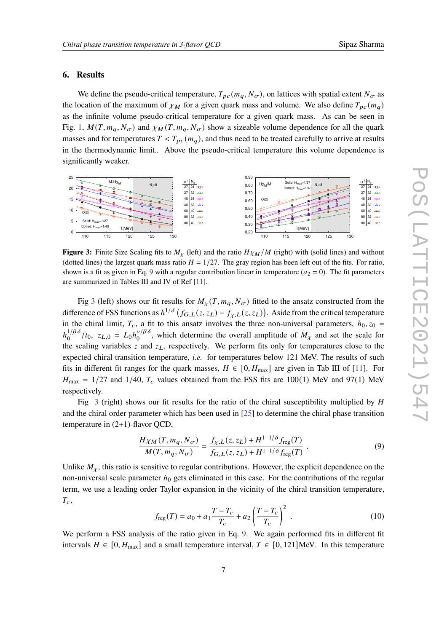### **6. Results**

We define the pseudo-critical temperature,  $T_{pc}(m_q, N_{\sigma})$ , on lattices with spatial extent  $N_{\sigma}$  as the location of the maximum of  $\chi_M$  for a given quark mass and volume. We also define  $T_{pc}(m_q)$ as the infinite volume pseudo-critical temperature for a given quark mass. As can be seen in Fig. [1,](#page-5-0)  $M(T, m_a, N_\sigma)$  and  $\chi_M(T, m_a, N_\sigma)$  show a sizeable volume dependence for all the quark masses and for temperatures  $T < T_{pc}(m_q)$ , and thus need to be treated carefully to arrive at results in the thermodynamic limit.. Above the pseudo-critical temperature this volume dependence is significantly weaker.

<span id="page-6-1"></span>

**Figure 3:** Finite Size Scaling fits to  $M<sub>X</sub>$  (left) and the ratio  $H<sub>XM</sub>/M$  (right) with (solid lines) and without (dotted lines) the largest quark mass ratio  $H = 1/27$ . The gray region has been left out of the fits. For ratio, shown is a fit as given in Eq. [9](#page-6-0) with a regular contribution linear in temperature ( $a_2 = 0$ ). The fit parameters are summarized in Tables III and IV of Ref [\[11\]](#page-9-2).

Fig [3](#page-6-1) (left) shows our fit results for  $M_{\chi}(T, m_q, N_{\sigma})$  fitted to the ansatz constructed from the difference of FSS functions as  $h^{1/\delta}$   $(f_{G,L}(z, z_L) - f_{\chi,L}(z, z_L))$ . Aside from the critical temperature in the chiral limit,  $T_c$ , a fit to this ansatz involves the three non-universal parameters,  $h_0$ ,  $z_0$  =  $h_0^{1/\beta\delta}$  $\int_0^{1/\beta \delta} /t_0, z_{L,0} = L_0 h_0^{\nu/\beta \delta}$  $\frac{\partial V}{\partial \theta}$ , which determine the overall amplitude of  $M_{\chi}$  and set the scale for the scaling variables  $z$  and  $z_L$ , respectively. We perform fits only for temperatures close to the expected chiral transition temperature, *i.e.* for temperatures below 121 MeV. The results of such fits in different fit ranges for the quark masses,  $H \in [0, H_{\text{max}}]$  are given in Tab III of [\[11\]](#page-9-2). For  $H_{\text{max}} = 1/27$  and 1/40,  $T_c$  values obtained from the FSS fits are 100(1) MeV and 97(1) MeV respectively.

Fig  $\overline{3}$  $\overline{3}$  $\overline{3}$  (right) shows our fit results for the ratio of the chiral susceptibility multiplied by H and the chiral order parameter which has been used in [\[25\]](#page-9-15) to determine the chiral phase transition temperature in (2+1)-flavor QCD,

<span id="page-6-0"></span>
$$
\frac{H\chi_M(T, m_q, N_{\sigma})}{M(T, m_q, N_{\sigma})} = \frac{f_{\chi,L}(z, z_L) + H^{1-1/\delta} f_{\text{reg}}(T)}{f_{G,L}(z, z_L) + H^{1-1/\delta} f_{\text{reg}}(T)}.
$$
\n(9)

Unlike  $M_{\chi}$ , this ratio is sensitive to regular contributions. However, the explicit dependence on the non-universal scale parameter  $h_0$  gets eliminated in this case. For the contributions of the regular term, we use a leading order Taylor expansion in the vicinity of the chiral transition temperature,  $T_c$ ,

<span id="page-6-2"></span>
$$
f_{\rm reg}(T) = a_0 + a_1 \frac{T - T_c}{T_c} + a_2 \left(\frac{T - T_c}{T_c}\right)^2 \tag{10}
$$

We perform a FSS analysis of the ratio given in Eq. [9.](#page-6-0) We again performed fits in different fit intervals  $H \in [0, H_{\text{max}}]$  and a small temperature interval,  $T \in [0, 121]$ MeV. In this temperature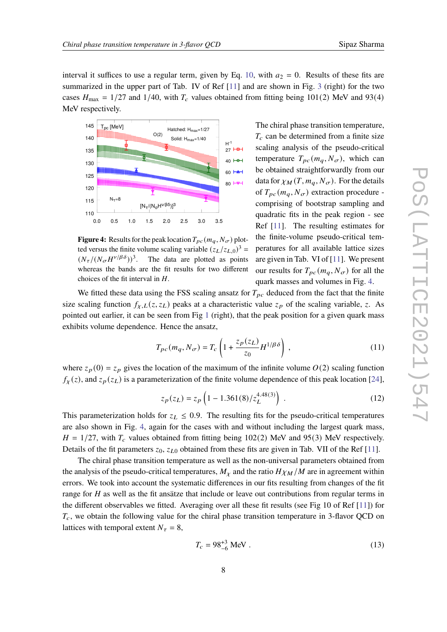interval it suffices to use a regular term, given by Eq. [10,](#page-6-2) with  $a_2 = 0$ . Results of these fits are summarized in the upper part of Tab. IV of Ref [\[11\]](#page-9-2) and are shown in Fig. [3](#page-6-1) (right) for the two cases  $H_{\text{max}} = 1/27$  and 1/40, with  $T_c$  values obtained from fitting being 101(2) MeV and 93(4) MeV respectively.



<span id="page-7-0"></span>**Figure 4:** Results for the peak location  $T_{pc}(m_q, N_\sigma)$  plotted versus the finite volume scaling variable  $(z_L/z_{L,0})^3$  =  $(N_{\tau}/(N_{\sigma}H^{\nu/\beta\delta}))^3$ . The data are plotted as points whereas the bands are the fit results for two different choices of the fit interval in  $H$ .

The chiral phase transition temperature,  $T_c$  can be determined from a finite size scaling analysis of the pseudo-critical temperature  $T_{pc}(m_q, N_{\sigma})$ , which can be obtained straightforwardly from our data for  $\chi_M(T, m_q, N_\sigma)$ . For the details of  $T_{pc}(m_q, N_{\sigma})$  extraction procedure comprising of bootstrap sampling and quadratic fits in the peak region - see Ref [\[11\]](#page-9-2). The resulting estimates for the finite-volume pseudo-critical temperatures for all available lattice sizes are given in Tab. VI of [\[11\]](#page-9-2). We present our results for  $T_{pc}(m_q, N_{\sigma})$  for all the quark masses and volumes in Fig. [4.](#page-7-0)

We fitted these data using the FSS scaling ansatz for  $T_{pc}$  deduced from the fact that the finite size scaling function  $f_{\chi,L}(z, z_L)$  peaks at a characteristic value  $z_p$  of the scaling variable, z. As pointed out earlier, it can be seen from Fig [1](#page-5-0) (right), that the peak position for a given quark mass exhibits volume dependence. Hence the ansatz,

$$
T_{pc}(m_q, N_{\sigma}) = T_c \left( 1 + \frac{z_p(z_L)}{z_0} H^{1/\beta \delta} \right) , \qquad (11)
$$

where  $z_p(0) = z_p$  gives the location of the maximum of the infinite volume  $O(2)$  scaling function  $f_{\chi}(z)$ , and  $z_{p}(z_{L})$  is a parameterization of the finite volume dependence of this peak location [\[24\]](#page-9-14),

$$
z_p(z_L) = z_p \left( 1 - 1.361(8) / z_L^{4.48(3)} \right) \,. \tag{12}
$$

This parameterization holds for  $z_L \leq 0.9$ . The resulting fits for the pseudo-critical temperatures are also shown in Fig. [4,](#page-7-0) again for the cases with and without including the largest quark mass,  $H = 1/27$ , with  $T_c$  values obtained from fitting being 102(2) MeV and 95(3) MeV respectively. Details of the fit parameters  $z_0$ ,  $z_{L0}$  obtained from these fits are given in Tab. VII of the Ref [\[11\]](#page-9-2).

The chiral phase transition temperature as well as the non-universal parameters obtained from the analysis of the pseudo-critical temperatures,  $M<sub>\chi</sub>$  and the ratio  $H\chi_M/M$  are in agreement within errors. We took into account the systematic differences in our fits resulting from changes of the fit range for  $H$  as well as the fit ansätze that include or leave out contributions from regular terms in the different observables we fitted. Averaging over all these fit results (see Fig 10 of Ref [\[11\]](#page-9-2)) for  $T_c$ , we obtain the following value for the chiral phase transition temperature in 3-flavor QCD on lattices with temporal extent  $N_{\tau} = 8$ ,

$$
T_c = 98^{+3}_{-6} \text{ MeV} \tag{13}
$$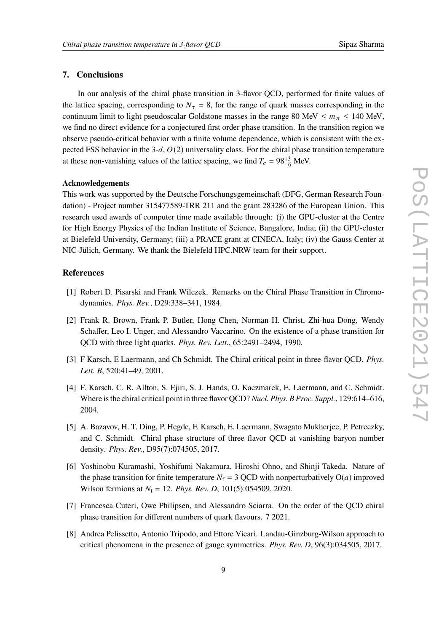#### **7. Conclusions**

In our analysis of the chiral phase transition in 3-flavor QCD, performed for finite values of the lattice spacing, corresponding to  $N_{\tau} = 8$ , for the range of quark masses corresponding in the continuum limit to light pseudoscalar Goldstone masses in the range 80 MeV  $\leq m_{\pi} \leq 140$  MeV, we find no direct evidence for a conjectured first order phase transition. In the transition region we observe pseudo-critical behavior with a finite volume dependence, which is consistent with the expected FSS behavior in the 3-d,  $O(2)$  universality class. For the chiral phase transition temperature at these non-vanishing values of the lattice spacing, we find  $T_c = 98^{+3}_{-6}$  MeV.

#### **Acknowledgements**

This work was supported by the Deutsche Forschungsgemeinschaft (DFG, German Research Foundation) - Project number 315477589-TRR 211 and the grant 283286 of the European Union. This research used awards of computer time made available through: (i) the GPU-cluster at the Centre for High Energy Physics of the Indian Institute of Science, Bangalore, India; (ii) the GPU-cluster at Bielefeld University, Germany; (iii) a PRACE grant at CINECA, Italy; (iv) the Gauss Center at NIC-Jülich, Germany. We thank the Bielefeld HPC.NRW team for their support.

#### **References**

- <span id="page-8-0"></span>[1] Robert D. Pisarski and Frank Wilczek. Remarks on the Chiral Phase Transition in Chromodynamics. *Phys. Rev.*, D29:338–341, 1984.
- <span id="page-8-1"></span>[2] Frank R. Brown, Frank P. Butler, Hong Chen, Norman H. Christ, Zhi-hua Dong, Wendy Schaffer, Leo I. Unger, and Alessandro Vaccarino. On the existence of a phase transition for QCD with three light quarks. *Phys. Rev. Lett.*, 65:2491–2494, 1990.
- <span id="page-8-2"></span>[3] F Karsch, E Laermann, and Ch Schmidt. The Chiral critical point in three-flavor QCD. *Phys. Lett. B*, 520:41–49, 2001.
- <span id="page-8-3"></span>[4] F. Karsch, C. R. Allton, S. Ejiri, S. J. Hands, O. Kaczmarek, E. Laermann, and C. Schmidt. Where is the chiral critical point in three flavor QCD? *Nucl. Phys. B Proc. Suppl.*, 129:614–616, 2004.
- <span id="page-8-4"></span>[5] A. Bazavov, H. T. Ding, P. Hegde, F. Karsch, E. Laermann, Swagato Mukherjee, P. Petreczky, and C. Schmidt. Chiral phase structure of three flavor QCD at vanishing baryon number density. *Phys. Rev.*, D95(7):074505, 2017.
- <span id="page-8-5"></span>[6] Yoshinobu Kuramashi, Yoshifumi Nakamura, Hiroshi Ohno, and Shinji Takeda. Nature of the phase transition for finite temperature  $N_f = 3$  QCD with nonperturbatively  $O(a)$  improved Wilson fermions at  $N_t = 12$ . *Phys. Rev. D*, 101(5):054509, 2020.
- <span id="page-8-6"></span>[7] Francesca Cuteri, Owe Philipsen, and Alessandro Sciarra. On the order of the QCD chiral phase transition for different numbers of quark flavours. 7 2021.
- <span id="page-8-7"></span>[8] Andrea Pelissetto, Antonio Tripodo, and Ettore Vicari. Landau-Ginzburg-Wilson approach to critical phenomena in the presence of gauge symmetries. *Phys. Rev. D*, 96(3):034505, 2017.